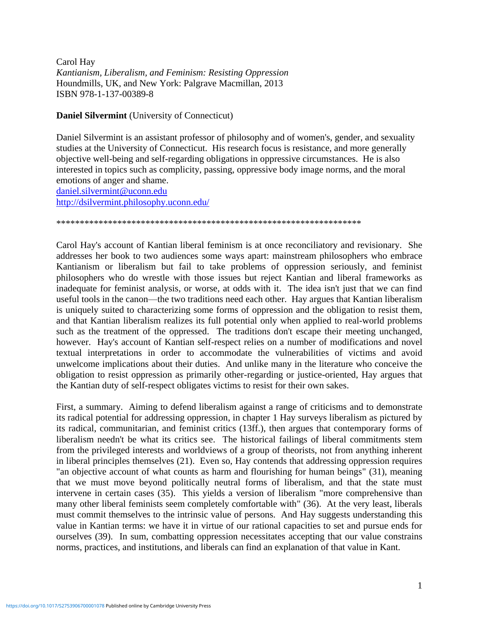Carol Hay *Kantianism, Liberalism, and Feminism: Resisting Oppression* Houndmills, UK, and New York: Palgrave Macmillan, 2013 ISBN 978-1-137-00389-8

**Daniel Silvermint** (University of Connecticut)

Daniel Silvermint is an assistant professor of philosophy and of women's, gender, and sexuality studies at the University of Connecticut. His research focus is resistance, and more generally objective well-being and self-regarding obligations in oppressive circumstances. He is also interested in topics such as complicity, passing, oppressive body image norms, and the moral emotions of anger and shame.

[daniel.silvermint@uconn.edu](mailto:daniel.silvermint@uconn.edu) <http://dsilvermint.philosophy.uconn.edu/>

\*\*\*\*\*\*\*\*\*\*\*\*\*\*\*\*\*\*\*\*\*\*\*\*\*\*\*\*\*\*\*\*\*\*\*\*\*\*\*\*\*\*\*\*\*\*\*\*\*\*\*\*\*\*\*\*\*\*\*\*\*\*\*\*\*

Carol Hay's account of Kantian liberal feminism is at once reconciliatory and revisionary. She addresses her book to two audiences some ways apart: mainstream philosophers who embrace Kantianism or liberalism but fail to take problems of oppression seriously, and feminist philosophers who do wrestle with those issues but reject Kantian and liberal frameworks as inadequate for feminist analysis, or worse, at odds with it. The idea isn't just that we can find useful tools in the canon—the two traditions need each other. Hay argues that Kantian liberalism is uniquely suited to characterizing some forms of oppression and the obligation to resist them, and that Kantian liberalism realizes its full potential only when applied to real-world problems such as the treatment of the oppressed. The traditions don't escape their meeting unchanged, however. Hay's account of Kantian self-respect relies on a number of modifications and novel textual interpretations in order to accommodate the vulnerabilities of victims and avoid unwelcome implications about their duties. And unlike many in the literature who conceive the obligation to resist oppression as primarily other-regarding or justice-oriented, Hay argues that the Kantian duty of self-respect obligates victims to resist for their own sakes.

First, a summary. Aiming to defend liberalism against a range of criticisms and to demonstrate its radical potential for addressing oppression, in chapter 1 Hay surveys liberalism as pictured by its radical, communitarian, and feminist critics (13ff.), then argues that contemporary forms of liberalism needn't be what its critics see. The historical failings of liberal commitments stem from the privileged interests and worldviews of a group of theorists, not from anything inherent in liberal principles themselves (21). Even so, Hay contends that addressing oppression requires "an objective account of what counts as harm and flourishing for human beings" (31), meaning that we must move beyond politically neutral forms of liberalism, and that the state must intervene in certain cases (35). This yields a version of liberalism "more comprehensive than many other liberal feminists seem completely comfortable with" (36). At the very least, liberals must commit themselves to the intrinsic value of persons. And Hay suggests understanding this value in Kantian terms: we have it in virtue of our rational capacities to set and pursue ends for ourselves (39). In sum, combatting oppression necessitates accepting that our value constrains norms, practices, and institutions, and liberals can find an explanation of that value in Kant.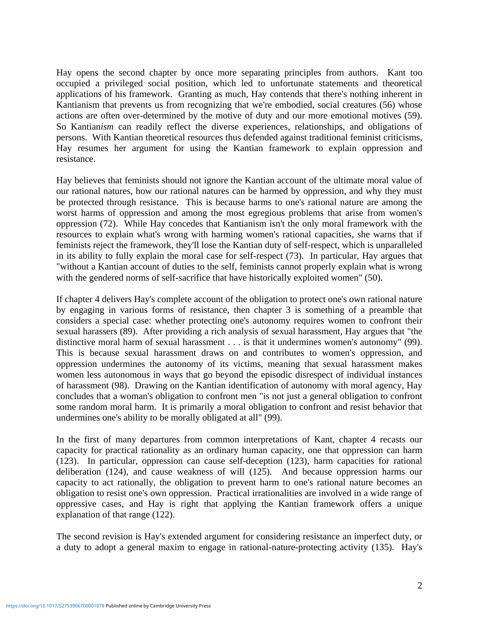Hay opens the second chapter by once more separating principles from authors. Kant too occupied a privileged social position, which led to unfortunate statements and theoretical applications of his framework. Granting as much, Hay contends that there's nothing inherent in Kantianism that prevents us from recognizing that we're embodied, social creatures (56) whose actions are often over-determined by the motive of duty and our more emotional motives (59). So Kantian*ism* can readily reflect the diverse experiences, relationships, and obligations of persons. With Kantian theoretical resources thus defended against traditional feminist criticisms, Hay resumes her argument for using the Kantian framework to explain oppression and resistance.

Hay believes that feminists should not ignore the Kantian account of the ultimate moral value of our rational natures, how our rational natures can be harmed by oppression, and why they must be protected through resistance. This is because harms to one's rational nature are among the worst harms of oppression and among the most egregious problems that arise from women's oppression (72). While Hay concedes that Kantianism isn't the only moral framework with the resources to explain what's wrong with harming women's rational capacities, she warns that if feminists reject the framework, they'll lose the Kantian duty of self-respect, which is unparalleled in its ability to fully explain the moral case for self-respect (73). In particular, Hay argues that "without a Kantian account of duties to the self, feminists cannot properly explain what is wrong with the gendered norms of self-sacrifice that have historically exploited women" (50).

If chapter 4 delivers Hay's complete account of the obligation to protect one's own rational nature by engaging in various forms of resistance, then chapter 3 is something of a preamble that considers a special case: whether protecting one's autonomy requires women to confront their sexual harassers (89). After providing a rich analysis of sexual harassment, Hay argues that "the distinctive moral harm of sexual harassment . . . is that it undermines women's autonomy" (99). This is because sexual harassment draws on and contributes to women's oppression, and oppression undermines the autonomy of its victims, meaning that sexual harassment makes women less autonomous in ways that go beyond the episodic disrespect of individual instances of harassment (98). Drawing on the Kantian identification of autonomy with moral agency, Hay concludes that a woman's obligation to confront men "is not just a general obligation to confront some random moral harm. It is primarily a moral obligation to confront and resist behavior that undermines one's ability to be morally obligated at all" (99).

In the first of many departures from common interpretations of Kant, chapter 4 recasts our capacity for practical rationality as an ordinary human capacity, one that oppression can harm (123). In particular, oppression can cause self-deception (123), harm capacities for rational deliberation (124), and cause weakness of will (125). And because oppression harms our capacity to act rationally, the obligation to prevent harm to one's rational nature becomes an obligation to resist one's own oppression. Practical irrationalities are involved in a wide range of oppressive cases, and Hay is right that applying the Kantian framework offers a unique explanation of that range (122).

The second revision is Hay's extended argument for considering resistance an imperfect duty, or a duty to adopt a general maxim to engage in rational-nature-protecting activity (135). Hay's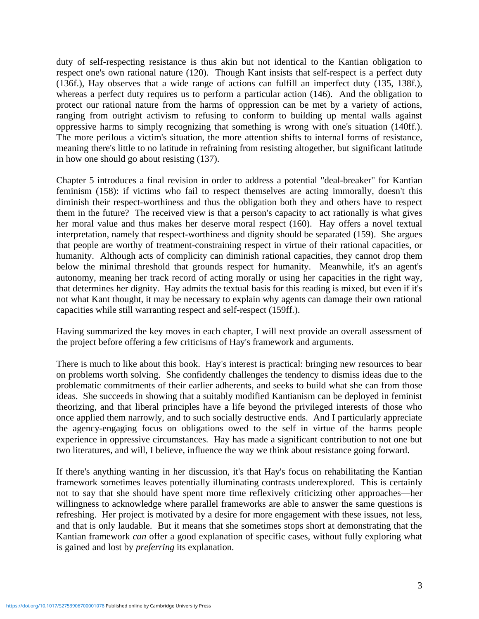duty of self-respecting resistance is thus akin but not identical to the Kantian obligation to respect one's own rational nature (120). Though Kant insists that self-respect is a perfect duty (136f.), Hay observes that a wide range of actions can fulfill an imperfect duty (135, 138f.), whereas a perfect duty requires us to perform a particular action (146). And the obligation to protect our rational nature from the harms of oppression can be met by a variety of actions, ranging from outright activism to refusing to conform to building up mental walls against oppressive harms to simply recognizing that something is wrong with one's situation (140ff.). The more perilous a victim's situation, the more attention shifts to internal forms of resistance, meaning there's little to no latitude in refraining from resisting altogether, but significant latitude in how one should go about resisting (137).

Chapter 5 introduces a final revision in order to address a potential "deal-breaker" for Kantian feminism (158): if victims who fail to respect themselves are acting immorally, doesn't this diminish their respect-worthiness and thus the obligation both they and others have to respect them in the future? The received view is that a person's capacity to act rationally is what gives her moral value and thus makes her deserve moral respect (160). Hay offers a novel textual interpretation, namely that respect-worthiness and dignity should be separated (159). She argues that people are worthy of treatment-constraining respect in virtue of their rational capacities, or humanity. Although acts of complicity can diminish rational capacities, they cannot drop them below the minimal threshold that grounds respect for humanity. Meanwhile, it's an agent's autonomy, meaning her track record of acting morally or using her capacities in the right way, that determines her dignity. Hay admits the textual basis for this reading is mixed, but even if it's not what Kant thought, it may be necessary to explain why agents can damage their own rational capacities while still warranting respect and self-respect (159ff.).

Having summarized the key moves in each chapter, I will next provide an overall assessment of the project before offering a few criticisms of Hay's framework and arguments.

There is much to like about this book. Hay's interest is practical: bringing new resources to bear on problems worth solving. She confidently challenges the tendency to dismiss ideas due to the problematic commitments of their earlier adherents, and seeks to build what she can from those ideas. She succeeds in showing that a suitably modified Kantianism can be deployed in feminist theorizing, and that liberal principles have a life beyond the privileged interests of those who once applied them narrowly, and to such socially destructive ends. And I particularly appreciate the agency-engaging focus on obligations owed to the self in virtue of the harms people experience in oppressive circumstances. Hay has made a significant contribution to not one but two literatures, and will, I believe, influence the way we think about resistance going forward.

If there's anything wanting in her discussion, it's that Hay's focus on rehabilitating the Kantian framework sometimes leaves potentially illuminating contrasts underexplored. This is certainly not to say that she should have spent more time reflexively criticizing other approaches—her willingness to acknowledge where parallel frameworks are able to answer the same questions is refreshing. Her project is motivated by a desire for more engagement with these issues, not less, and that is only laudable. But it means that she sometimes stops short at demonstrating that the Kantian framework *can* offer a good explanation of specific cases, without fully exploring what is gained and lost by *preferring* its explanation.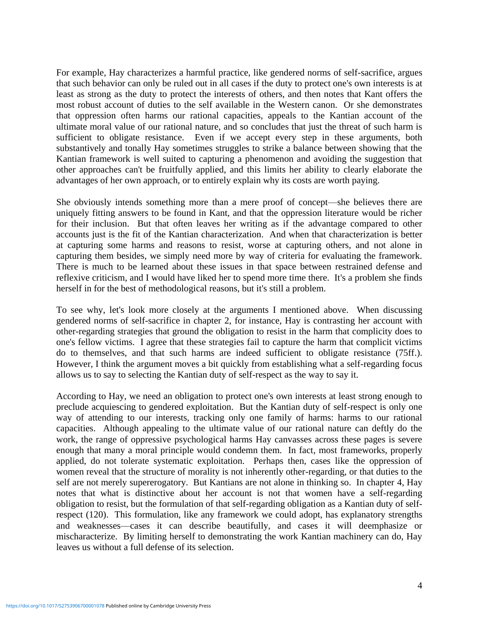For example, Hay characterizes a harmful practice, like gendered norms of self-sacrifice, argues that such behavior can only be ruled out in all cases if the duty to protect one's own interests is at least as strong as the duty to protect the interests of others, and then notes that Kant offers the most robust account of duties to the self available in the Western canon. Or she demonstrates that oppression often harms our rational capacities, appeals to the Kantian account of the ultimate moral value of our rational nature, and so concludes that just the threat of such harm is sufficient to obligate resistance. Even if we accept every step in these arguments, both substantively and tonally Hay sometimes struggles to strike a balance between showing that the Kantian framework is well suited to capturing a phenomenon and avoiding the suggestion that other approaches can't be fruitfully applied, and this limits her ability to clearly elaborate the advantages of her own approach, or to entirely explain why its costs are worth paying.

She obviously intends something more than a mere proof of concept—she believes there are uniquely fitting answers to be found in Kant, and that the oppression literature would be richer for their inclusion. But that often leaves her writing as if the advantage compared to other accounts just is the fit of the Kantian characterization. And when that characterization is better at capturing some harms and reasons to resist, worse at capturing others, and not alone in capturing them besides, we simply need more by way of criteria for evaluating the framework. There is much to be learned about these issues in that space between restrained defense and reflexive criticism, and I would have liked her to spend more time there. It's a problem she finds herself in for the best of methodological reasons, but it's still a problem.

To see why, let's look more closely at the arguments I mentioned above. When discussing gendered norms of self-sacrifice in chapter 2, for instance, Hay is contrasting her account with other-regarding strategies that ground the obligation to resist in the harm that complicity does to one's fellow victims. I agree that these strategies fail to capture the harm that complicit victims do to themselves, and that such harms are indeed sufficient to obligate resistance (75ff.). However, I think the argument moves a bit quickly from establishing what a self-regarding focus allows us to say to selecting the Kantian duty of self-respect as the way to say it.

According to Hay, we need an obligation to protect one's own interests at least strong enough to preclude acquiescing to gendered exploitation. But the Kantian duty of self-respect is only one way of attending to our interests, tracking only one family of harms: harms to our rational capacities. Although appealing to the ultimate value of our rational nature can deftly do the work, the range of oppressive psychological harms Hay canvasses across these pages is severe enough that many a moral principle would condemn them. In fact, most frameworks, properly applied, do not tolerate systematic exploitation. Perhaps then, cases like the oppression of women reveal that the structure of morality is not inherently other-regarding, or that duties to the self are not merely supererogatory. But Kantians are not alone in thinking so. In chapter 4, Hay notes that what is distinctive about her account is not that women have a self-regarding obligation to resist, but the formulation of that self-regarding obligation as a Kantian duty of selfrespect (120). This formulation, like any framework we could adopt, has explanatory strengths and weaknesses—cases it can describe beautifully, and cases it will deemphasize or mischaracterize. By limiting herself to demonstrating the work Kantian machinery can do, Hay leaves us without a full defense of its selection.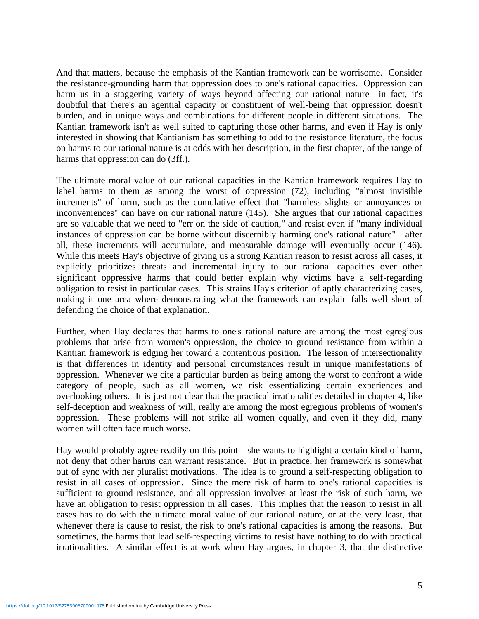And that matters, because the emphasis of the Kantian framework can be worrisome. Consider the resistance-grounding harm that oppression does to one's rational capacities. Oppression can harm us in a staggering variety of ways beyond affecting our rational nature—in fact, it's doubtful that there's an agential capacity or constituent of well-being that oppression doesn't burden, and in unique ways and combinations for different people in different situations. The Kantian framework isn't as well suited to capturing those other harms, and even if Hay is only interested in showing that Kantianism has something to add to the resistance literature, the focus on harms to our rational nature is at odds with her description, in the first chapter, of the range of harms that oppression can do (3ff.).

The ultimate moral value of our rational capacities in the Kantian framework requires Hay to label harms to them as among the worst of oppression (72), including "almost invisible increments" of harm, such as the cumulative effect that "harmless slights or annoyances or inconveniences" can have on our rational nature (145). She argues that our rational capacities are so valuable that we need to "err on the side of caution," and resist even if "many individual instances of oppression can be borne without discernibly harming one's rational nature"—after all, these increments will accumulate, and measurable damage will eventually occur (146). While this meets Hay's objective of giving us a strong Kantian reason to resist across all cases, it explicitly prioritizes threats and incremental injury to our rational capacities over other significant oppressive harms that could better explain why victims have a self-regarding obligation to resist in particular cases. This strains Hay's criterion of aptly characterizing cases, making it one area where demonstrating what the framework can explain falls well short of defending the choice of that explanation.

Further, when Hay declares that harms to one's rational nature are among the most egregious problems that arise from women's oppression, the choice to ground resistance from within a Kantian framework is edging her toward a contentious position. The lesson of intersectionality is that differences in identity and personal circumstances result in unique manifestations of oppression. Whenever we cite a particular burden as being among the worst to confront a wide category of people, such as all women, we risk essentializing certain experiences and overlooking others. It is just not clear that the practical irrationalities detailed in chapter 4, like self-deception and weakness of will, really are among the most egregious problems of women's oppression. These problems will not strike all women equally, and even if they did, many women will often face much worse.

Hay would probably agree readily on this point—she wants to highlight a certain kind of harm, not deny that other harms can warrant resistance. But in practice, her framework is somewhat out of sync with her pluralist motivations. The idea is to ground a self-respecting obligation to resist in all cases of oppression. Since the mere risk of harm to one's rational capacities is sufficient to ground resistance, and all oppression involves at least the risk of such harm, we have an obligation to resist oppression in all cases. This implies that the reason to resist in all cases has to do with the ultimate moral value of our rational nature, or at the very least, that whenever there is cause to resist, the risk to one's rational capacities is among the reasons. But sometimes, the harms that lead self-respecting victims to resist have nothing to do with practical irrationalities. A similar effect is at work when Hay argues, in chapter 3, that the distinctive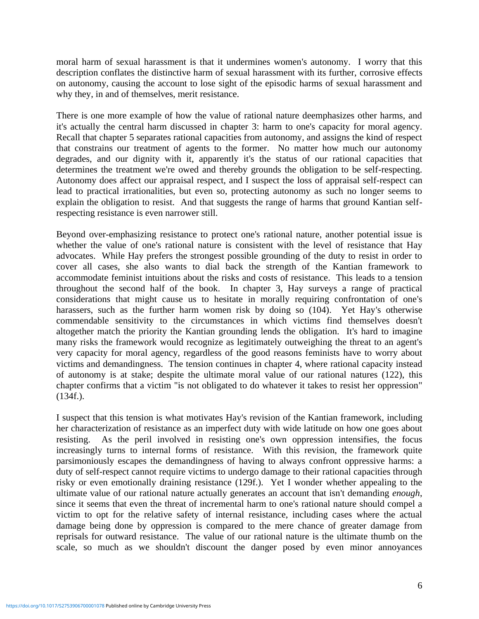moral harm of sexual harassment is that it undermines women's autonomy. I worry that this description conflates the distinctive harm of sexual harassment with its further, corrosive effects on autonomy, causing the account to lose sight of the episodic harms of sexual harassment and why they, in and of themselves, merit resistance.

There is one more example of how the value of rational nature deemphasizes other harms, and it's actually the central harm discussed in chapter 3: harm to one's capacity for moral agency. Recall that chapter 5 separates rational capacities from autonomy, and assigns the kind of respect that constrains our treatment of agents to the former. No matter how much our autonomy degrades, and our dignity with it, apparently it's the status of our rational capacities that determines the treatment we're owed and thereby grounds the obligation to be self-respecting. Autonomy does affect our appraisal respect, and I suspect the loss of appraisal self-respect can lead to practical irrationalities, but even so, protecting autonomy as such no longer seems to explain the obligation to resist. And that suggests the range of harms that ground Kantian selfrespecting resistance is even narrower still.

Beyond over-emphasizing resistance to protect one's rational nature, another potential issue is whether the value of one's rational nature is consistent with the level of resistance that Hay advocates. While Hay prefers the strongest possible grounding of the duty to resist in order to cover all cases, she also wants to dial back the strength of the Kantian framework to accommodate feminist intuitions about the risks and costs of resistance. This leads to a tension throughout the second half of the book. In chapter 3, Hay surveys a range of practical considerations that might cause us to hesitate in morally requiring confrontation of one's harassers, such as the further harm women risk by doing so (104). Yet Hay's otherwise commendable sensitivity to the circumstances in which victims find themselves doesn't altogether match the priority the Kantian grounding lends the obligation. It's hard to imagine many risks the framework would recognize as legitimately outweighing the threat to an agent's very capacity for moral agency, regardless of the good reasons feminists have to worry about victims and demandingness. The tension continues in chapter 4, where rational capacity instead of autonomy is at stake; despite the ultimate moral value of our rational natures (122), this chapter confirms that a victim "is not obligated to do whatever it takes to resist her oppression" (134f.).

I suspect that this tension is what motivates Hay's revision of the Kantian framework, including her characterization of resistance as an imperfect duty with wide latitude on how one goes about resisting. As the peril involved in resisting one's own oppression intensifies, the focus increasingly turns to internal forms of resistance. With this revision, the framework quite parsimoniously escapes the demandingness of having to always confront oppressive harms: a duty of self-respect cannot require victims to undergo damage to their rational capacities through risky or even emotionally draining resistance (129f.). Yet I wonder whether appealing to the ultimate value of our rational nature actually generates an account that isn't demanding *enough*, since it seems that even the threat of incremental harm to one's rational nature should compel a victim to opt for the relative safety of internal resistance, including cases where the actual damage being done by oppression is compared to the mere chance of greater damage from reprisals for outward resistance. The value of our rational nature is the ultimate thumb on the scale, so much as we shouldn't discount the danger posed by even minor annoyances